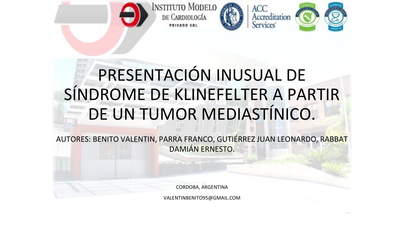







## PRESENTACIÓN INUSUAL DE SÍNDROME DE KLINEFELTER A PARTIR DE UN TUMOR MEDIASTÍNICO.

**PRIVADO SRI** 

AUTORES: BENITO VALENTIN, PARRA FRANCO, GUTIÉRREZ JUAN LEONARDO, RABBAT DAMIÁN ERNESTO.

CORDOBA, ARGENTINA

VALENTINBENITO95@GMAIL.COM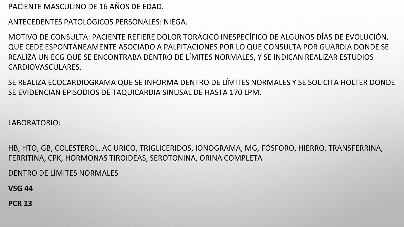PACIENTE MASCULINO DE 16 AÑOS DE EDAD.

ANTECEDENTES PATOLÓGICOS PERSONALES: NIEGA.

MOTIVO DE CONSULTA: PACIENTE REFIERE DOLOR TORÁCICO INESPECÍFICO DE ALGUNOS DÍAS DE EVOLUCIÓN, QUE CEDE ESPONTÁNEAMENTE ASOCIADO A PALPITACIONES POR LO QUE CONSULTA POR GUARDIA DONDE SE REALIZA UN ECG QUE SE ENCONTRABA DENTRO DE LÍMITES NORMALES, Y SE INDICAN REALIZAR ESTUDIOS CARDIOVASCULARES.

SE REALIZA ECOCARDIOGRAMA QUE SE INFORMA DENTRO DE LÍMITES NORMALES Y SE SOLICITA HOLTER DONDE SE EVIDENCIAN EPISODIOS DE TAQUICARDIA SINUSAL DE HASTA 170 LPM.

LABORATORIO:

HB, HTO, GB, COLESTEROL, AC URICO, TRIGLICERIDOS, IONOGRAMA, MG, FÓSFORO, HIERRO, TRANSFERRINA, FERRITINA, CPK, HORMONAS TIROIDEAS, SEROTONINA, ORINA COMPLETA

DENTRO DE LÍMITES NORMALES

**VSG 44**

**PCR 13**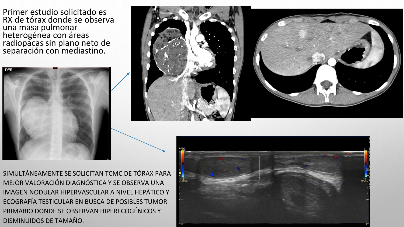Primer estudio solicitado es RX de tórax donde se observa una masa pulmonar heterogénea con áreas radiopacas sin plano neto de separación con mediastino.





SIMULTÁNEAMENTE SE SOLICITAN TCMC DE TÓRAX PARA MEJOR VALORACIÓN DIAGNÓSTICA Y SE OBSERVA UNA IMAGEN NODULAR HIPERVASCULAR A NIVEL HEPÁTICO Y ECOGRAFÍA TESTICULAR EN BUSCA DE POSIBLES TUMOR PRIMARIO DONDE SE OBSERVAN HIPERECOGÉNICOS Y DISMINUIDOS DE TAMAÑO.

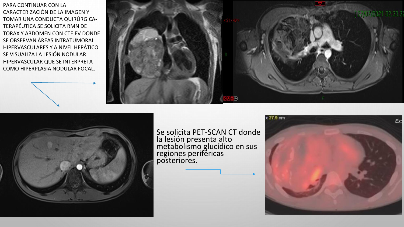PARA CONTINUAR CON LA CARACTERIZACIÓN DE LA IMAGEN Y TOMAR UNA CONDUCTA QUIRÚRGICA-TERAPÉUTICA SE SOLICITA RMN DE TORAX Y ABDOMEN CON CTE EV DONDE SE OBSERVAN ÁREAS INTRATUMORAL HIPERVASCULARES Y A NIVEL HEPÁTICO SE VISUALIZA LA LESIÓN NODULAR HIPERVASCULAR QUE SE INTERPRETA COMO HIPERPLASIA NODULAR FOCAL.





Se solicita PET-SCAN CT donde la lesión presenta alto metabolismo glucídico en sus regiones periféricas posteriores.